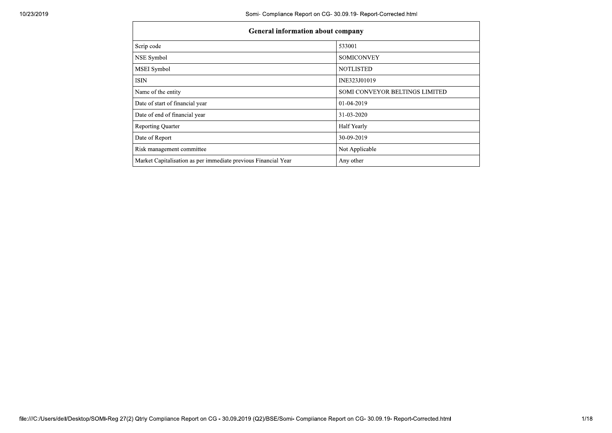| 10/23/2019 |                                                                | Somi- Compliance Report on CG- 30.09.19- Report-Corrected.html<br>General information about company |  |  |  |  |  |
|------------|----------------------------------------------------------------|-----------------------------------------------------------------------------------------------------|--|--|--|--|--|
|            |                                                                | 533001                                                                                              |  |  |  |  |  |
|            | Scrip code<br>NSE Symbol                                       | <b>SOMICONVEY</b>                                                                                   |  |  |  |  |  |
|            | MSEI Symbol                                                    | <b>NOTLISTED</b>                                                                                    |  |  |  |  |  |
|            | <b>ISIN</b>                                                    | INE323J01019                                                                                        |  |  |  |  |  |
|            | Name of the entity                                             | SOMI CONVEYOR BELTINGS LIMITED                                                                      |  |  |  |  |  |
|            | Date of start of financial year                                | 01-04-2019                                                                                          |  |  |  |  |  |
|            | Date of end of financial year                                  | 31-03-2020                                                                                          |  |  |  |  |  |
|            | Reporting Quarter                                              | Half Yearly                                                                                         |  |  |  |  |  |
|            | Date of Report                                                 | 30-09-2019                                                                                          |  |  |  |  |  |
|            | Risk management committee                                      | Not Applicable                                                                                      |  |  |  |  |  |
|            | Market Capitalisation as per immediate previous Financial Year | Any other                                                                                           |  |  |  |  |  |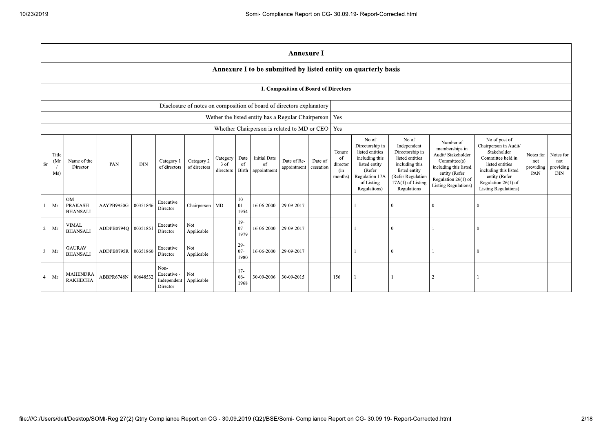|                |                                                          |                                         |                     |            |                                                |                            |                               |                          |                                                | <b>Annexure I</b>                                                    |                      |                                            |                                                                                                                                          |                                                                                                                                                        |                                                                                                                                                                   |                                                                                                                                                                                                 |                                      |                                             |
|----------------|----------------------------------------------------------|-----------------------------------------|---------------------|------------|------------------------------------------------|----------------------------|-------------------------------|--------------------------|------------------------------------------------|----------------------------------------------------------------------|----------------------|--------------------------------------------|------------------------------------------------------------------------------------------------------------------------------------------|--------------------------------------------------------------------------------------------------------------------------------------------------------|-------------------------------------------------------------------------------------------------------------------------------------------------------------------|-------------------------------------------------------------------------------------------------------------------------------------------------------------------------------------------------|--------------------------------------|---------------------------------------------|
|                |                                                          |                                         |                     |            |                                                |                            |                               |                          |                                                |                                                                      |                      |                                            | Annexure I to be submitted by listed entity on quarterly basis                                                                           |                                                                                                                                                        |                                                                                                                                                                   |                                                                                                                                                                                                 |                                      |                                             |
|                | I. Composition of Board of Directors                     |                                         |                     |            |                                                |                            |                               |                          |                                                |                                                                      |                      |                                            |                                                                                                                                          |                                                                                                                                                        |                                                                                                                                                                   |                                                                                                                                                                                                 |                                      |                                             |
|                |                                                          |                                         |                     |            |                                                |                            |                               |                          |                                                | Disclosure of notes on composition of board of directors explanatory |                      |                                            |                                                                                                                                          |                                                                                                                                                        |                                                                                                                                                                   |                                                                                                                                                                                                 |                                      |                                             |
|                | Wether the listed entity has a Regular Chairperson   Yes |                                         |                     |            |                                                |                            |                               |                          |                                                |                                                                      |                      |                                            |                                                                                                                                          |                                                                                                                                                        |                                                                                                                                                                   |                                                                                                                                                                                                 |                                      |                                             |
|                | Whether Chairperson is related to MD or CEO              |                                         |                     |            |                                                |                            |                               |                          |                                                |                                                                      | Yes                  |                                            |                                                                                                                                          |                                                                                                                                                        |                                                                                                                                                                   |                                                                                                                                                                                                 |                                      |                                             |
| $S_{r}$        | Title<br>(Mr)<br>$\sqrt{ }$<br>Ms)                       | Name of the<br>Director                 | PAN                 | <b>DIN</b> | Category 1<br>of directors                     | Category 2<br>of directors | Category<br>3 of<br>directors | Date<br>of               | <b>Initial Date</b><br>of<br>Birth appointment | Date of Re-<br>appointment                                           | Date of<br>cessation | Tenure<br>of<br>director<br>(in<br>months) | No of<br>Directorship in<br>listed entities<br>including this<br>listed entity<br>(Refer<br>Regulation 17A<br>of Listing<br>Regulations) | No of<br>Independent<br>Directorship in<br>listed entities<br>including this<br>listed entity<br>(Refer Regulation<br>17A(1) of Listing<br>Regulations | Number of<br>memberships in<br>Audit/ Stakeholder<br>Committee(s)<br>including this listed<br>entity (Refer<br>Regulation 26(1) of<br><b>Listing Regulations)</b> | No of post of<br>Chairperson in Audit/<br>Stakeholder<br>Committee held in<br>listed entities<br>including this listed<br>entity (Refer<br>Regulation $26(1)$ of<br><b>Listing Regulations)</b> | Notes for<br>not<br>providing<br>PAN | Notes for<br>not<br>providing<br><b>DIN</b> |
|                | Mr                                                       | OM<br><b>PRAKASH</b><br><b>BHANSALI</b> | AAYPB9950G          | 00351846   | Executive<br>Director                          | Chairperson                | <b>MD</b>                     | $10-$<br>$01-$<br>1954   | 16-06-2000                                     | 29-09-2017                                                           |                      |                                            |                                                                                                                                          | 0                                                                                                                                                      |                                                                                                                                                                   | 0                                                                                                                                                                                               |                                      |                                             |
| $\overline{a}$ | Mr                                                       | <b>VIMAL</b><br><b>BHANSALI</b>         | ADDPB0794O 00351851 |            | Executive<br>Director                          | Not<br>Applicable          |                               | $19-$<br>$07 -$<br>1979  | 16-06-2000                                     | 29-09-2017                                                           |                      |                                            |                                                                                                                                          | $\theta$                                                                                                                                               |                                                                                                                                                                   | $\theta$                                                                                                                                                                                        |                                      |                                             |
| $\overline{3}$ | Mr                                                       | <b>GAURAV</b><br><b>BHANSALI</b>        | ADDPB0795R          | 00351860   | Executive<br>Director                          | Not<br>Applicable          |                               | $29 -$<br>$07 -$<br>1980 | 16-06-2000                                     | 29-09-2017                                                           |                      |                                            |                                                                                                                                          | 0                                                                                                                                                      |                                                                                                                                                                   |                                                                                                                                                                                                 |                                      |                                             |
| $\overline{4}$ | Mr                                                       | <b>MAHENDRA</b><br><b>RAKHECHA</b>      | ABBPR6748N          | 00648532   | Non-<br>Executive -<br>Independent<br>Director | Not<br>Applicable          |                               | $17-$<br>$06 -$<br>1968  | 30-09-2006                                     | 30-09-2015                                                           |                      | 156                                        |                                                                                                                                          |                                                                                                                                                        | $\overline{2}$                                                                                                                                                    |                                                                                                                                                                                                 |                                      |                                             |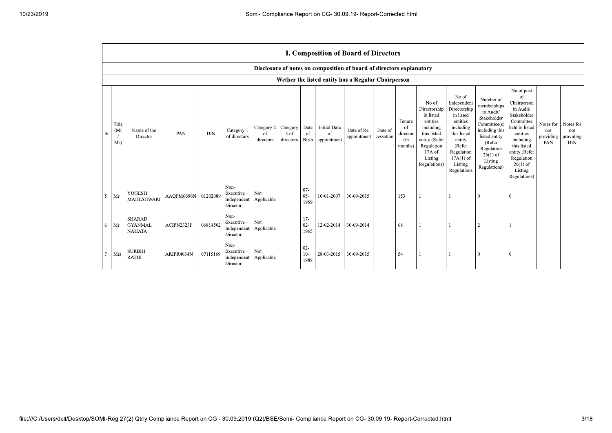|           | I. Composition of Board of Directors |                                                  |            |            |                                                           |                               |                                 |                            |                                          |                                                                      |                      |                                                       |                                                                                                                                                |                                                                                                                                                                      |                                                                                                                                                                          |                                                                                                                                                                                                            |                                      |                                             |
|-----------|--------------------------------------|--------------------------------------------------|------------|------------|-----------------------------------------------------------|-------------------------------|---------------------------------|----------------------------|------------------------------------------|----------------------------------------------------------------------|----------------------|-------------------------------------------------------|------------------------------------------------------------------------------------------------------------------------------------------------|----------------------------------------------------------------------------------------------------------------------------------------------------------------------|--------------------------------------------------------------------------------------------------------------------------------------------------------------------------|------------------------------------------------------------------------------------------------------------------------------------------------------------------------------------------------------------|--------------------------------------|---------------------------------------------|
|           |                                      |                                                  |            |            |                                                           |                               |                                 |                            |                                          | Disclosure of notes on composition of board of directors explanatory |                      |                                                       |                                                                                                                                                |                                                                                                                                                                      |                                                                                                                                                                          |                                                                                                                                                                                                            |                                      |                                             |
|           |                                      |                                                  |            |            |                                                           |                               |                                 |                            |                                          | Wether the listed entity has a Regular Chairperson                   |                      |                                                       |                                                                                                                                                |                                                                                                                                                                      |                                                                                                                                                                          |                                                                                                                                                                                                            |                                      |                                             |
| <b>Sr</b> | Title<br>(Mr)<br>Ms)                 | Name of the<br>Director                          | PAN        | <b>DIN</b> | Category 1<br>of directors                                | Category 2<br>of<br>directors | Category<br>$3$ of<br>directors | Date<br>of<br><b>Birth</b> | <b>Initial Date</b><br>of<br>appointment | Date of Re-<br>appointment                                           | Date of<br>cessation | Tenure<br><sup>of</sup><br>director<br>(in<br>months) | No of<br>Directorship<br>in listed<br>entities<br>including<br>this listed<br>entity (Refer<br>Regulation<br>17A of<br>Listing<br>Regulations) | No of<br>Independent<br>Directorship<br>in listed<br>entities<br>including<br>this listed<br>entity<br>(Refer<br>Regulation<br>$17A(1)$ of<br>Listing<br>Regulations | Number of<br>memberships<br>in Audit/<br>Stakeholder<br>Committee(s)<br>including this<br>listed entity<br>(Refer<br>Regulation<br>$26(1)$ of<br>Listing<br>Regulations) | No of post<br>of<br>Chairperson<br>in Audit/<br>Stakeholder<br>Committee<br>held in listed<br>entities<br>including<br>this listed<br>entity (Refer<br>Regulation<br>$26(1)$ of<br>Listing<br>Regulations) | Notes for<br>not<br>providing<br>PAN | Notes for<br>not<br>providing<br><b>DIN</b> |
| 5         | Mr                                   | YOGESH<br><b>MAHESHWARI</b>                      | AAQPM6696N | 01202089   | Non-<br>Executive -<br>Independent<br>Director            | Not<br>Applicable             |                                 | $07 -$<br>$05 -$<br>1959   | 10-01-2007                               | 30-09-2015                                                           |                      | 153                                                   |                                                                                                                                                |                                                                                                                                                                      | $\Omega$                                                                                                                                                                 | $\Omega$                                                                                                                                                                                                   |                                      |                                             |
| 6         | Mr                                   | <b>SHARAD</b><br><b>GYANMAL</b><br><b>NAHATA</b> | ACIPN2323F | 06814502   | Non-<br>Executive -<br>Independent Applicable<br>Director | Not                           |                                 | $17-$<br>02-<br>1965       | 12-02-2014                               | 30-09-2014                                                           |                      | 68                                                    |                                                                                                                                                |                                                                                                                                                                      | $\overline{2}$                                                                                                                                                           |                                                                                                                                                                                                            |                                      |                                             |
| $\tau$    | Mrs                                  | <b>SURBHI</b><br><b>RATHI</b>                    | ARIPR4034N | 07115169   | Non-<br>Executive -<br>Independent<br>Director            | Not<br>Applicable             |                                 | $02 -$<br>$10-$<br>1988    | 28-03-2015                               | 30-09-2015                                                           |                      | 54                                                    |                                                                                                                                                |                                                                                                                                                                      | $\mathbf{0}$                                                                                                                                                             | $\overline{0}$                                                                                                                                                                                             |                                      |                                             |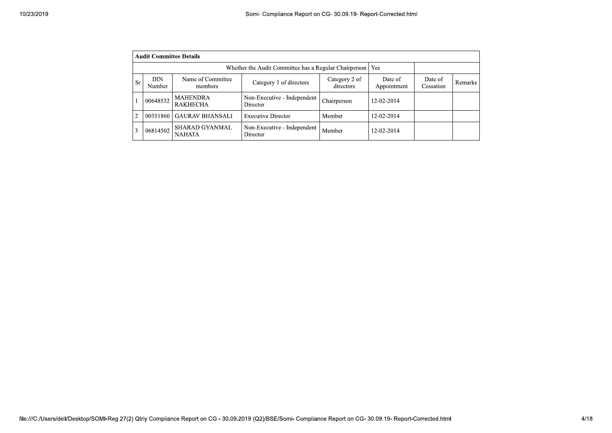|                | <b>Audit Committee Details</b>                               |                                        |                                         |                            |                        |                      |         |  |  |  |
|----------------|--------------------------------------------------------------|----------------------------------------|-----------------------------------------|----------------------------|------------------------|----------------------|---------|--|--|--|
|                | Whether the Audit Committee has a Regular Chairperson<br>Yes |                                        |                                         |                            |                        |                      |         |  |  |  |
| <b>Sr</b>      | <b>DIN</b><br>Number                                         | Name of Committee<br>members           | Category 1 of directors                 | Category 2 of<br>directors | Date of<br>Appointment | Date of<br>Cessation | Remarks |  |  |  |
|                | 00648532                                                     | MAHENDRA<br><b>RAKHECHA</b>            | Non-Executive - Independent<br>Director | Chairperson                | 12-02-2014             |                      |         |  |  |  |
| $\overline{c}$ | 00351860                                                     | <b>GAURAV BHANSALI</b>                 | <b>Executive Director</b>               | Member                     | 12-02-2014             |                      |         |  |  |  |
| 3              | 06814502                                                     | <b>SHARAD GYANMAL</b><br><b>NAHATA</b> | Non-Executive - Independent<br>Director | Member                     | 12-02-2014             |                      |         |  |  |  |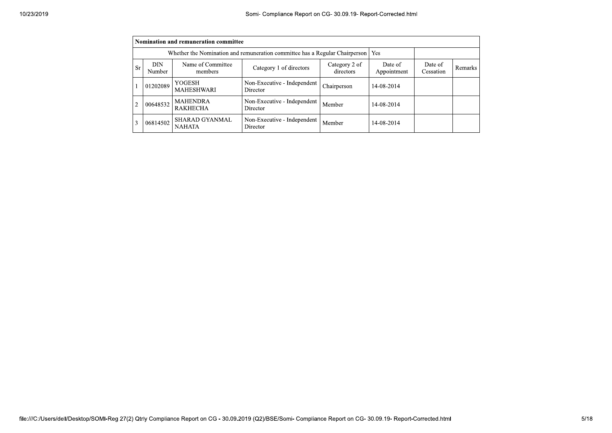|                | Nomination and remuneration committee                                              |                                        |                                         |                            |                        |                      |                |  |  |
|----------------|------------------------------------------------------------------------------------|----------------------------------------|-----------------------------------------|----------------------------|------------------------|----------------------|----------------|--|--|
|                | Whether the Nomination and remuneration committee has a Regular Chairperson<br>Yes |                                        |                                         |                            |                        |                      |                |  |  |
| <b>Sr</b>      | DIN.<br>Number                                                                     | Name of Committee<br>members           | Category 1 of directors                 | Category 2 of<br>directors | Date of<br>Appointment | Date of<br>Cessation | <b>Remarks</b> |  |  |
|                | 01202089                                                                           | YOGESH<br><b>MAHESHWARI</b>            | Non-Executive - Independent<br>Director | Chairperson                | 14-08-2014             |                      |                |  |  |
| $\overline{2}$ | 00648532                                                                           | <b>MAHENDRA</b><br><b>RAKHECHA</b>     | Non-Executive - Independent<br>Director | Member                     | 14-08-2014             |                      |                |  |  |
| 3              | 06814502                                                                           | <b>SHARAD GYANMAL</b><br><b>NAHATA</b> | Non-Executive - Independent<br>Director | Member                     | 14-08-2014             |                      |                |  |  |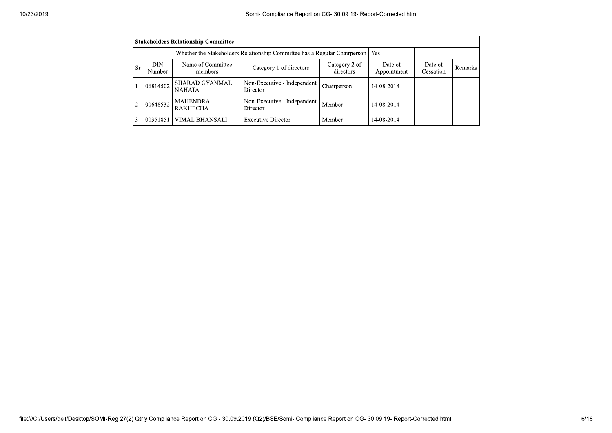|           | <b>Stakeholders Relationship Committee</b>                                       |                                        |                                         |                            |                        |                      |         |  |  |
|-----------|----------------------------------------------------------------------------------|----------------------------------------|-----------------------------------------|----------------------------|------------------------|----------------------|---------|--|--|
|           | Whether the Stakeholders Relationship Committee has a Regular Chairperson<br>Yes |                                        |                                         |                            |                        |                      |         |  |  |
| <b>Sr</b> | DIN<br><b>Number</b>                                                             | Name of Committee<br>members           | Category 1 of directors                 | Category 2 of<br>directors | Date of<br>Appointment | Date of<br>Cessation | Remarks |  |  |
|           | 06814502                                                                         | <b>SHARAD GYANMAL</b><br><b>NAHATA</b> | Non-Executive - Independent<br>Director | Chairperson                | 14-08-2014             |                      |         |  |  |
|           | 00648532                                                                         | <b>MAHENDRA</b><br><b>RAKHECHA</b>     | Non-Executive - Independent<br>Director | Member                     | 14-08-2014             |                      |         |  |  |
|           | 00351851                                                                         | VIMAL BHANSALI                         | <b>Executive Director</b>               | Member                     | 14-08-2014             |                      |         |  |  |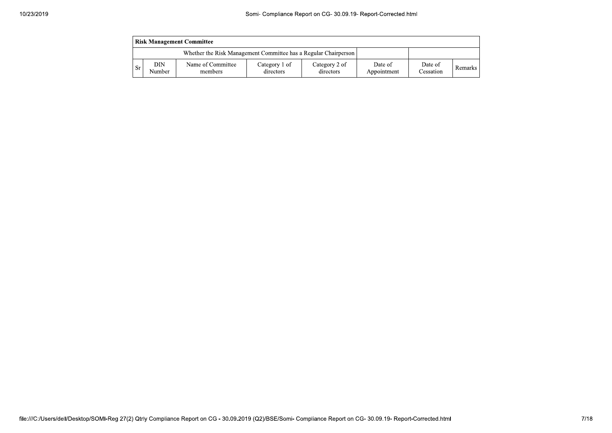|    | <b>Risk Management Committee</b> |                                                                 |                            |                            |                        |                      |                |  |  |
|----|----------------------------------|-----------------------------------------------------------------|----------------------------|----------------------------|------------------------|----------------------|----------------|--|--|
|    |                                  | Whether the Risk Management Committee has a Regular Chairperson |                            |                            |                        |                      |                |  |  |
| Sr | DIN<br>Number                    | Name of Committee<br>members                                    | Category 1 of<br>directors | Category 2 of<br>directors | Date of<br>Appointment | Date of<br>Cessation | <b>Remarks</b> |  |  |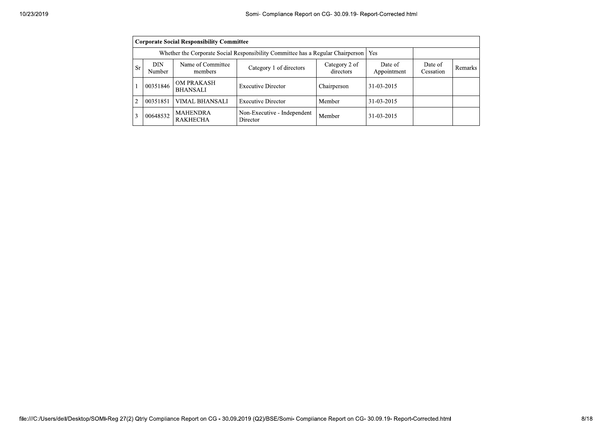|                | <b>Corporate Social Responsibility Committee</b> |                                                                                 |                                         |                            |                        |                      |         |  |  |
|----------------|--------------------------------------------------|---------------------------------------------------------------------------------|-----------------------------------------|----------------------------|------------------------|----------------------|---------|--|--|
|                |                                                  | Whether the Corporate Social Responsibility Committee has a Regular Chairperson |                                         | Yes                        |                        |                      |         |  |  |
| Sr             | DIN<br>Number                                    | Name of Committee<br>members                                                    | Category 1 of directors                 | Category 2 of<br>directors | Date of<br>Appointment | Date of<br>Cessation | Remarks |  |  |
|                | 00351846                                         | <b>OM PRAKASH</b><br><b>BHANSALI</b>                                            | <b>Executive Director</b>               | Chairperson                | 31-03-2015             |                      |         |  |  |
| $\overline{c}$ | 00351851                                         | <b>VIMAL BHANSALI</b>                                                           | <b>Executive Director</b>               | Member                     | 31-03-2015             |                      |         |  |  |
| 3              | 00648532                                         | <b>MAHENDRA</b><br><b>RAKHECHA</b>                                              | Non-Executive - Independent<br>Director | Member                     | 31-03-2015             |                      |         |  |  |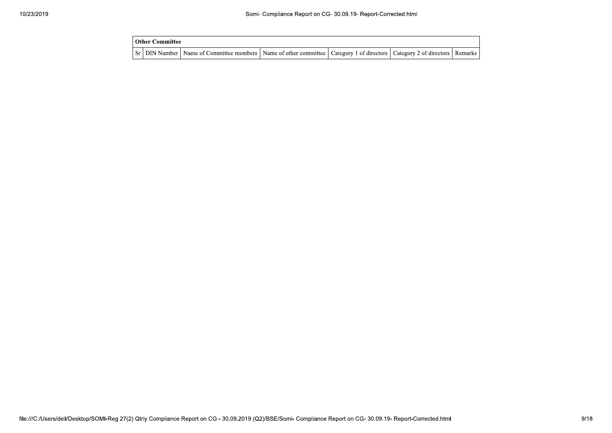| Other Committee |                                                                                                                                     |  |  |
|-----------------|-------------------------------------------------------------------------------------------------------------------------------------|--|--|
|                 | Sr   DIN Number   Name of Committee members   Name of other committee   Category 1 of directors   Category 2 of directors   Remarks |  |  |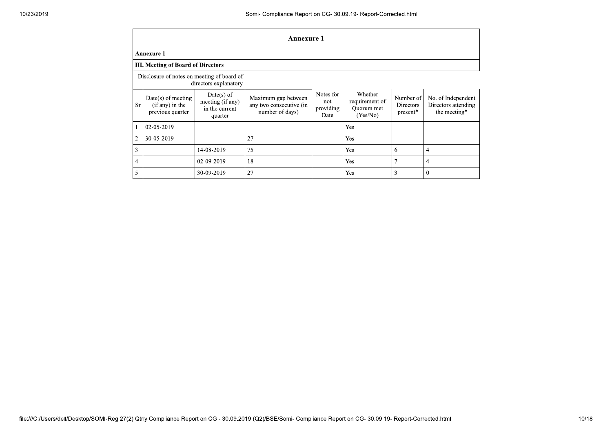|                | <b>Annexure 1</b>                                                   |                                                               |                                                                   |                                       |                                                     |                                           |                                                           |  |
|----------------|---------------------------------------------------------------------|---------------------------------------------------------------|-------------------------------------------------------------------|---------------------------------------|-----------------------------------------------------|-------------------------------------------|-----------------------------------------------------------|--|
|                | Annexure 1                                                          |                                                               |                                                                   |                                       |                                                     |                                           |                                                           |  |
|                | III. Meeting of Board of Directors                                  |                                                               |                                                                   |                                       |                                                     |                                           |                                                           |  |
|                | Disclosure of notes on meeting of board of<br>directors explanatory |                                                               |                                                                   |                                       |                                                     |                                           |                                                           |  |
| <b>Sr</b>      | $Date(s)$ of meeting<br>$(if any)$ in the<br>previous quarter       | $Date(s)$ of<br>meeting (if any)<br>in the current<br>quarter | Maximum gap between<br>any two consecutive (in<br>number of days) | Notes for<br>not<br>providing<br>Date | Whether<br>requirement of<br>Quorum met<br>(Yes/No) | Number of<br><b>Directors</b><br>present* | No. of Independent<br>Directors attending<br>the meeting* |  |
|                | 02-05-2019                                                          |                                                               |                                                                   |                                       | <b>Yes</b>                                          |                                           |                                                           |  |
| $\overline{2}$ | 30-05-2019                                                          |                                                               | 27                                                                |                                       | Yes                                                 |                                           |                                                           |  |
| 3              |                                                                     | 14-08-2019                                                    | 75                                                                |                                       | Yes                                                 | 6                                         | 4                                                         |  |
| $\overline{4}$ |                                                                     | 02-09-2019                                                    | 18                                                                |                                       | Yes                                                 | $\overline{7}$                            | 4                                                         |  |
| 5              |                                                                     | 30-09-2019                                                    | 27                                                                |                                       | Yes                                                 | 3                                         | 0                                                         |  |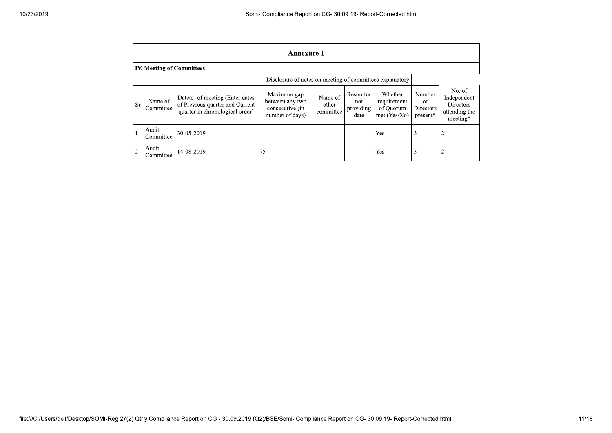|                | <b>Annexure 1</b>                                        |                                                                                                       |                                                                      |                               |                                       |                                                     |                                       |                                                                        |  |  |
|----------------|----------------------------------------------------------|-------------------------------------------------------------------------------------------------------|----------------------------------------------------------------------|-------------------------------|---------------------------------------|-----------------------------------------------------|---------------------------------------|------------------------------------------------------------------------|--|--|
|                | <b>IV. Meeting of Committees</b>                         |                                                                                                       |                                                                      |                               |                                       |                                                     |                                       |                                                                        |  |  |
|                | Disclosure of notes on meeting of committees explanatory |                                                                                                       |                                                                      |                               |                                       |                                                     |                                       |                                                                        |  |  |
| <b>Sr</b>      | Name of<br>Committee                                     | Date(s) of meeting (Enter dates<br>of Previous quarter and Current<br>quarter in chronological order) | Maximum gap<br>between any two<br>consecutive (in<br>number of days) | Name of<br>other<br>committee | Reson for<br>not<br>providing<br>date | Whether<br>requirement<br>of Quorum<br>met (Yes/No) | Number<br>of<br>Directors<br>present* | No. of<br>Independent<br><b>Directors</b><br>attending the<br>meeting* |  |  |
|                | Audit<br>Committee                                       | 30-05-2019                                                                                            |                                                                      |                               |                                       | Yes                                                 | 3                                     | 2                                                                      |  |  |
| $\overline{2}$ | Audit<br>Committee                                       | 14-08-2019                                                                                            | 75                                                                   |                               |                                       | Yes                                                 | 3                                     | 2                                                                      |  |  |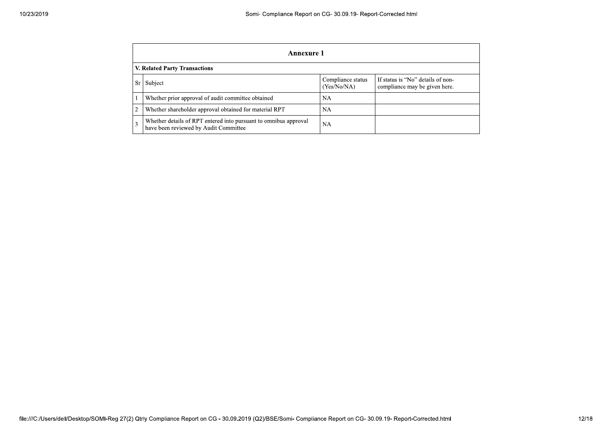|    | Annexure 1                                                                                                        |    |  |  |  |  |  |  |
|----|-------------------------------------------------------------------------------------------------------------------|----|--|--|--|--|--|--|
|    | V. Related Party Transactions                                                                                     |    |  |  |  |  |  |  |
| Sr | If status is "No" details of non-<br>Compliance status<br>Subject<br>(Yes/No/NA)<br>compliance may be given here. |    |  |  |  |  |  |  |
|    | Whether prior approval of audit committee obtained                                                                | NA |  |  |  |  |  |  |
|    | Whether shareholder approval obtained for material RPT                                                            | NA |  |  |  |  |  |  |
| 3  | Whether details of RPT entered into pursuant to omnibus approval<br>have been reviewed by Audit Committee         | NA |  |  |  |  |  |  |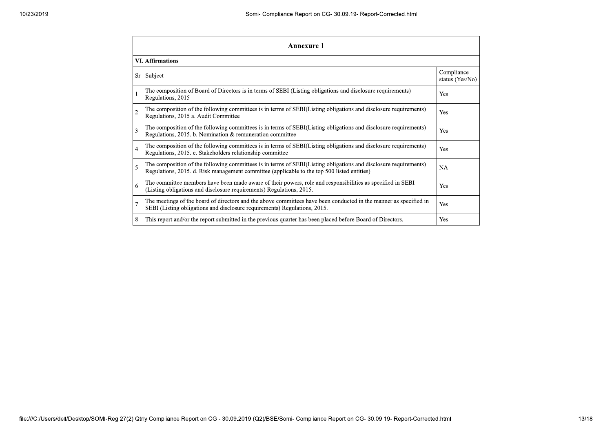|                | <b>Annexure 1</b>                                                                                                                                                                                               |                               |  |  |  |
|----------------|-----------------------------------------------------------------------------------------------------------------------------------------------------------------------------------------------------------------|-------------------------------|--|--|--|
|                | <b>VI.</b> Affirmations                                                                                                                                                                                         |                               |  |  |  |
| Sr             | Subject                                                                                                                                                                                                         | Compliance<br>status (Yes/No) |  |  |  |
|                | The composition of Board of Directors is in terms of SEBI (Listing obligations and disclosure requirements)<br>Regulations, 2015                                                                                | Yes                           |  |  |  |
| $\overline{c}$ | The composition of the following committees is in terms of SEBI(Listing obligations and disclosure requirements)<br>Regulations, 2015 a. Audit Committee                                                        | Yes                           |  |  |  |
| 3              | The composition of the following committees is in terms of SEBI(Listing obligations and disclosure requirements)<br>Regulations, 2015. b. Nomination & remuneration committee                                   | Yes                           |  |  |  |
| $\overline{4}$ | The composition of the following committees is in terms of SEBI(Listing obligations and disclosure requirements)<br>Regulations, 2015. c. Stakeholders relationship committee                                   | Yes                           |  |  |  |
| 5              | The composition of the following committees is in terms of SEBI(Listing obligations and disclosure requirements)<br>Regulations, 2015. d. Risk management committee (applicable to the top 500 listed entities) | <b>NA</b>                     |  |  |  |
| 6              | The committee members have been made aware of their powers, role and responsibilities as specified in SEBI<br>(Listing obligations and disclosure requirements) Regulations, 2015.                              | Yes                           |  |  |  |
| $\overline{7}$ | The meetings of the board of directors and the above committees have been conducted in the manner as specified in<br>SEBI (Listing obligations and disclosure requirements) Regulations, 2015.                  | Yes                           |  |  |  |
| 8              | This report and/or the report submitted in the previous quarter has been placed before Board of Directors.                                                                                                      | Yes                           |  |  |  |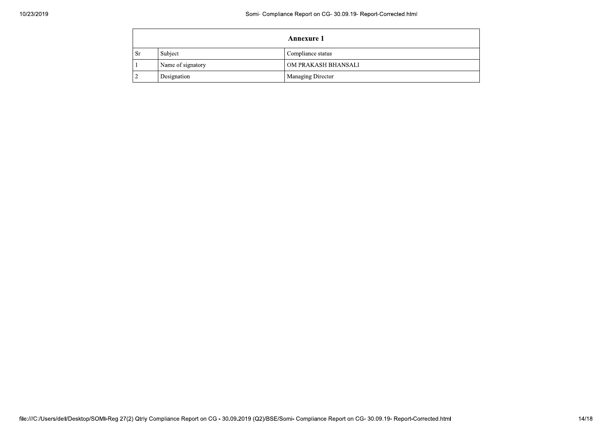|    |                   | <b>Annexure 1</b>        |
|----|-------------------|--------------------------|
| Sr | Subject           | Compliance status        |
|    | Name of signatory | OM PRAKASH BHANSALI      |
|    | Designation       | <b>Managing Director</b> |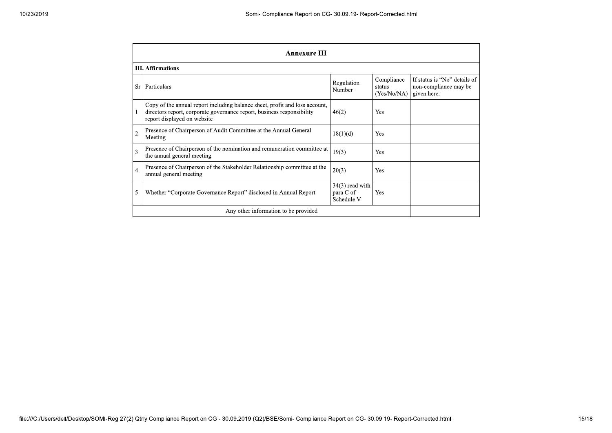| <b>Annexure III</b>      |                                                                                                                                                                                      |                                              |                                     |                                                                      |  |  |
|--------------------------|--------------------------------------------------------------------------------------------------------------------------------------------------------------------------------------|----------------------------------------------|-------------------------------------|----------------------------------------------------------------------|--|--|
| <b>III.</b> Affirmations |                                                                                                                                                                                      |                                              |                                     |                                                                      |  |  |
| Sr                       | Particulars                                                                                                                                                                          | Regulation<br>Number                         | Compliance<br>status<br>(Yes/No/NA) | If status is "No" details of<br>non-compliance may be<br>given here. |  |  |
|                          | Copy of the annual report including balance sheet, profit and loss account,<br>directors report, corporate governance report, business responsibility<br>report displayed on website | 46(2)                                        | Yes                                 |                                                                      |  |  |
| $\overline{2}$           | Presence of Chairperson of Audit Committee at the Annual General<br>Meeting                                                                                                          | 18(1)(d)                                     | Yes                                 |                                                                      |  |  |
| 3                        | Presence of Chairperson of the nomination and remuneration committee at<br>the annual general meeting                                                                                | 19(3)                                        | Yes                                 |                                                                      |  |  |
| 4                        | Presence of Chairperson of the Stakeholder Relationship committee at the<br>annual general meeting                                                                                   | 20(3)                                        | <b>Yes</b>                          |                                                                      |  |  |
| 5                        | Whether "Corporate Governance Report" disclosed in Annual Report                                                                                                                     | $34(3)$ read with<br>para C of<br>Schedule V | <b>Yes</b>                          |                                                                      |  |  |
|                          | Any other information to be provided                                                                                                                                                 |                                              |                                     |                                                                      |  |  |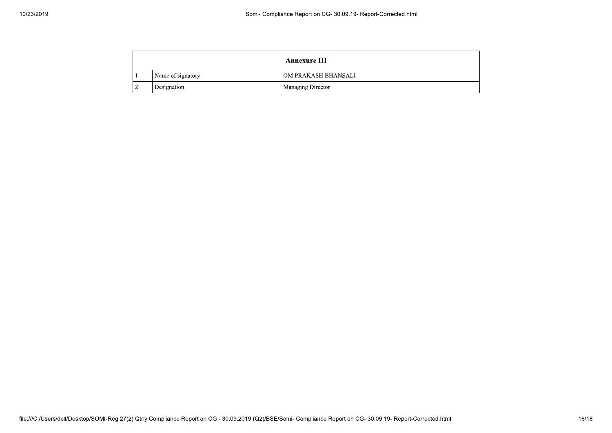| Annexure III       |                     |  |
|--------------------|---------------------|--|
| Name of signatory  | OM PRAKASH BHANSALI |  |
| <b>Designation</b> | Managing Director   |  |